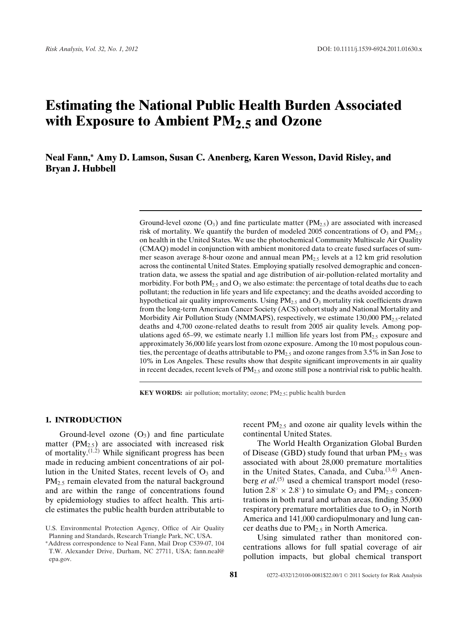# **Estimating the National Public Health Burden Associated with Exposure to Ambient PM2***.***5 and Ozone**

# **Neal Fann,<sup>∗</sup> Amy D. Lamson, Susan C. Anenberg, Karen Wesson, David Risley, and Bryan J. Hubbell**

Ground-level ozone  $(O_3)$  and fine particulate matter  $(PM_{2.5})$  are associated with increased risk of mortality. We quantify the burden of modeled 2005 concentrations of  $O_3$  and  $PM_{2.5}$ on health in the United States. We use the photochemical Community Multiscale Air Quality (CMAQ) model in conjunction with ambient monitored data to create fused surfaces of summer season average 8-hour ozone and annual mean  $PM_{2.5}$  levels at a 12 km grid resolution across the continental United States. Employing spatially resolved demographic and concentration data, we assess the spatial and age distribution of air-pollution-related mortality and morbidity. For both  $PM_{2,5}$  and  $O_3$  we also estimate: the percentage of total deaths due to each pollutant; the reduction in life years and life expectancy; and the deaths avoided according to hypothetical air quality improvements. Using  $PM_{2.5}$  and  $O_3$  mortality risk coefficients drawn from the long-term American Cancer Society (ACS) cohort study and National Mortality and Morbidity Air Pollution Study (NMMAPS), respectively, we estimate  $130,000 \text{ PM}_{2.5}$ -related deaths and 4,700 ozone-related deaths to result from 2005 air quality levels. Among populations aged 65–99, we estimate nearly 1.1 million life years lost from  $PM_{2.5}$  exposure and approximately 36,000 life years lost from ozone exposure. Among the 10 most populous counties, the percentage of deaths attributable to  $PM_{2,5}$  and ozone ranges from 3.5% in San Jose to 10% in Los Angeles. These results show that despite significant improvements in air quality in recent decades, recent levels of  $PM_{2.5}$  and ozone still pose a nontrivial risk to public health.

**KEY WORDS:** air pollution; mortality; ozone;  $PM_2$ <sub>5</sub>; public health burden

# **1. INTRODUCTION**

Ground-level ozone  $(O_3)$  and fine particulate matter  $(PM<sub>2.5</sub>)$  are associated with increased risk of mortality. $(1,2)$  While significant progress has been made in reducing ambient concentrations of air pollution in the United States, recent levels of  $O_3$  and PM<sub>2.5</sub> remain elevated from the natural background and are within the range of concentrations found by epidemiology studies to affect health. This article estimates the public health burden attributable to recent  $PM_{2.5}$  and ozone air quality levels within the continental United States.

The World Health Organization Global Burden of Disease (GBD) study found that urban  $PM_{2.5}$  was associated with about 28,000 premature mortalities in the United States, Canada, and Cuba. $(3,4)$  Anenberg *et al*.<sup>(5)</sup> used a chemical transport model (resolution 2.8° × 2.8°) to simulate  $O_3$  and PM<sub>2.5</sub> concentrations in both rural and urban areas, finding 35,000 respiratory premature mortalities due to  $O_3$  in North America and 141,000 cardiopulmonary and lung cancer deaths due to  $PM<sub>2.5</sub>$  in North America.

Using simulated rather than monitored concentrations allows for full spatial coverage of air pollution impacts, but global chemical transport

U.S. Environmental Protection Agency, Office of Air Quality Planning and Standards, Research Triangle Park, NC, USA.

<sup>∗</sup>Address correspondence to Neal Fann, Mail Drop C539-07, 104 T.W. Alexander Drive, Durham, NC 27711, USA; fann.neal@ epa.gov.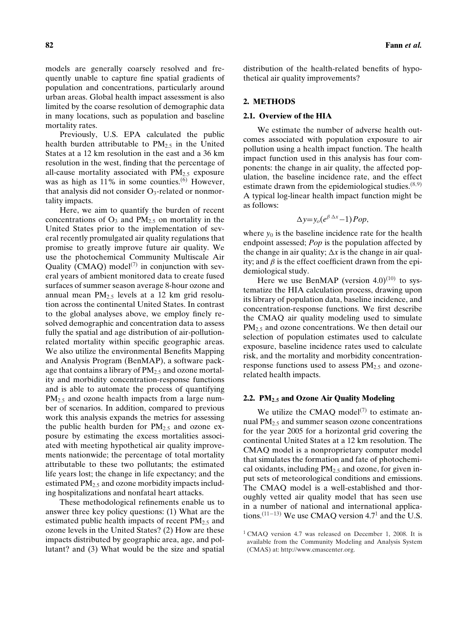models are generally coarsely resolved and frequently unable to capture fine spatial gradients of population and concentrations, particularly around urban areas. Global health impact assessment is also limited by the coarse resolution of demographic data in many locations, such as population and baseline mortality rates.

Previously, U.S. EPA calculated the public health burden attributable to  $PM_{2.5}$  in the United States at a 12 km resolution in the east and a 36 km resolution in the west, finding that the percentage of all-cause mortality associated with  $PM_{2.5}$  exposure was as high as  $11\%$  in some counties.<sup>(6)</sup> However, that analysis did not consider  $O_3$ -related or nonmortality impacts.

Here, we aim to quantify the burden of recent concentrations of  $O_3$  and  $PM_{2.5}$  on mortality in the United States prior to the implementation of several recently promulgated air quality regulations that promise to greatly improve future air quality. We use the photochemical Community Multiscale Air Quality  $(CMAQ)$  model<sup> $(7)$ </sup> in conjunction with several years of ambient monitored data to create fused surfaces of summer season average 8-hour ozone and annual mean  $PM_{2.5}$  levels at a 12 km grid resolution across the continental United States. In contrast to the global analyses above, we employ finely resolved demographic and concentration data to assess fully the spatial and age distribution of air-pollutionrelated mortality within specific geographic areas. We also utilize the environmental Benefits Mapping and Analysis Program (BenMAP), a software package that contains a library of  $PM_{2.5}$  and ozone mortality and morbidity concentration-response functions and is able to automate the process of quantifying PM<sub>2.5</sub> and ozone health impacts from a large number of scenarios. In addition, compared to previous work this analysis expands the metrics for assessing the public health burden for  $PM_{2.5}$  and ozone exposure by estimating the excess mortalities associated with meeting hypothetical air quality improvements nationwide; the percentage of total mortality attributable to these two pollutants; the estimated life years lost; the change in life expectancy; and the estimated  $PM_{2,5}$  and ozone morbidity impacts including hospitalizations and nonfatal heart attacks.

These methodological refinements enable us to answer three key policy questions: (1) What are the estimated public health impacts of recent  $PM_{2.5}$  and ozone levels in the United States? (2) How are these impacts distributed by geographic area, age, and pollutant? and (3) What would be the size and spatial distribution of the health-related benefits of hypothetical air quality improvements?

#### **2. METHODS**

## **2.1. Overview of the HIA**

We estimate the number of adverse health outcomes associated with population exposure to air pollution using a health impact function. The health impact function used in this analysis has four components: the change in air quality, the affected population, the baseline incidence rate, and the effect estimate drawn from the epidemiological studies. $(8,9)$ A typical log-linear health impact function might be as follows:

$$
\Delta y = y_o(e^{\beta \Delta x} - 1) Pop,
$$

where  $y_0$  is the baseline incidence rate for the health endpoint assessed; *Pop* is the population affected by the change in air quality;  $\Delta x$  is the change in air quality; and  $\beta$  is the effect coefficient drawn from the epidemiological study.

Here we use BenMAP (version  $4.0^{(10)}$  to systematize the HIA calculation process, drawing upon its library of population data, baseline incidence, and concentration-response functions. We first describe the CMAQ air quality modeling used to simulate  $PM<sub>2.5</sub>$  and ozone concentrations. We then detail our selection of population estimates used to calculate exposure, baseline incidence rates used to calculate risk, and the mortality and morbidity concentrationresponse functions used to assess  $PM_{2.5}$  and ozonerelated health impacts.

#### **2.2. PM2***.***<sup>5</sup> and Ozone Air Quality Modeling**

We utilize the CMAQ model<sup> $(7)$ </sup> to estimate annual  $PM<sub>2.5</sub>$  and summer season ozone concentrations for the year 2005 for a horizontal grid covering the continental United States at a 12 km resolution. The CMAQ model is a nonproprietary computer model that simulates the formation and fate of photochemical oxidants, including  $PM_{2,5}$  and ozone, for given input sets of meteorological conditions and emissions. The CMAQ model is a well-established and thoroughly vetted air quality model that has seen use in a number of national and international applications.<sup>(11−13)</sup> We use CMAQ version 4.7<sup>1</sup> and the U.S.

 $1$  CMAQ version 4.7 was released on December 1, 2008. It is available from the Community Modeling and Analysis System (CMAS) at: http://www.cmascenter.org.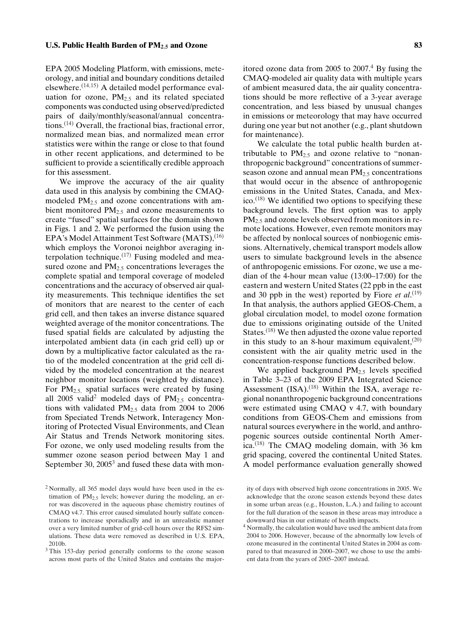EPA 2005 Modeling Platform, with emissions, meteorology, and initial and boundary conditions detailed elsewhere.(14,15) A detailed model performance evaluation for ozone,  $PM_{2.5}$  and its related speciated components was conducted using observed/predicted pairs of daily/monthly/seasonal/annual concentrations.<sup> $(14)$ </sup> Overall, the fractional bias, fractional error, normalized mean bias, and normalized mean error statistics were within the range or close to that found in other recent applications, and determined to be sufficient to provide a scientifically credible approach for this assessment.

We improve the accuracy of the air quality data used in this analysis by combining the CMAQmodeled  $PM_{2.5}$  and ozone concentrations with ambient monitored  $PM<sub>2.5</sub>$  and ozone measurements to create "fused" spatial surfaces for the domain shown in Figs. 1 and 2. We performed the fusion using the EPA's Model Attainment Test Software (MATS),<sup>(16)</sup> which employs the Voronoi neighbor averaging interpolation technique.<sup>(17)</sup> Fusing modeled and measured ozone and  $PM<sub>2.5</sub>$  concentrations leverages the complete spatial and temporal coverage of modeled concentrations and the accuracy of observed air quality measurements. This technique identifies the set of monitors that are nearest to the center of each grid cell, and then takes an inverse distance squared weighted average of the monitor concentrations. The fused spatial fields are calculated by adjusting the interpolated ambient data (in each grid cell) up or down by a multiplicative factor calculated as the ratio of the modeled concentration at the grid cell divided by the modeled concentration at the nearest neighbor monitor locations (weighted by distance). For  $PM_{2.5}$  spatial surfaces were created by fusing all 2005 valid<sup>2</sup> modeled days of  $PM_{2.5}$  concentrations with validated  $PM_{2.5}$  data from 2004 to 2006 from Speciated Trends Network, Interagency Monitoring of Protected Visual Environments, and Clean Air Status and Trends Network monitoring sites. For ozone, we only used modeling results from the summer ozone season period between May 1 and September 30,  $2005^3$  and fused these data with monitored ozone data from 2005 to  $2007<sup>4</sup>$  By fusing the CMAQ-modeled air quality data with multiple years of ambient measured data, the air quality concentrations should be more reflective of a 3-year average concentration, and less biased by unusual changes in emissions or meteorology that may have occurred during one year but not another (e.g., plant shutdown for maintenance).

We calculate the total public health burden attributable to  $PM_{2.5}$  and ozone relative to "nonanthropogenic background" concentrations of summerseason ozone and annual mean  $PM<sub>2.5</sub>$  concentrations that would occur in the absence of anthropogenic emissions in the United States, Canada, and Mexico. $(18)$  We identified two options to specifying these background levels. The first option was to apply  $PM_{2.5}$  and ozone levels observed from monitors in remote locations. However, even remote monitors may be affected by nonlocal sources of nonbiogenic emissions. Alternatively, chemical transport models allow users to simulate background levels in the absence of anthropogenic emissions. For ozone, we use a median of the 4-hour mean value (13:00–17:00) for the eastern and western United States (22 ppb in the east and 30 ppb in the west) reported by Fiore *et al*.<sup>(19)</sup> In that analysis, the authors applied GEOS-Chem, a global circulation model, to model ozone formation due to emissions originating outside of the United States.<sup>(18)</sup> We then adjusted the ozone value reported in this study to an 8-hour maximum equivalent, $(20)$ consistent with the air quality metric used in the concentration-response functions described below.

We applied background  $PM_{2.5}$  levels specified in Table 3–23 of the 2009 EPA Integrated Science Assessment  $(ISA)$ .<sup>(18)</sup> Within the ISA, average regional nonanthropogenic background concentrations were estimated using CMAQ v 4.7, with boundary conditions from GEOS-Chem and emissions from natural sources everywhere in the world, and anthropogenic sources outside continental North America.<sup>(18)</sup> The CMAQ modeling domain, with 36 km grid spacing, covered the continental United States. A model performance evaluation generally showed

<sup>2</sup> Normally, all 365 model days would have been used in the estimation of  $PM_{2,5}$  levels; however during the modeling, an error was discovered in the aqueous phase chemistry routines of CMAQ v4.7. This error caused simulated hourly sulfate concentrations to increase sporadically and in an unrealistic manner over a very limited number of grid-cell hours over the RFS2 simulations. These data were removed as described in U.S. EPA, 2010b.

<sup>3</sup> This 153-day period generally conforms to the ozone season across most parts of the United States and contains the major-

ity of days with observed high ozone concentrations in 2005. We acknowledge that the ozone season extends beyond these dates in some urban areas (e.g., Houston, L.A.) and failing to account for the full duration of the season in these areas may introduce a downward bias in our estimate of health impacts.

<sup>4</sup> Normally, the calculation would have used the ambient data from 2004 to 2006. However, because of the abnormally low levels of ozone measured in the continental United States in 2004 as compared to that measured in 2000–2007, we chose to use the ambient data from the years of 2005–2007 instead.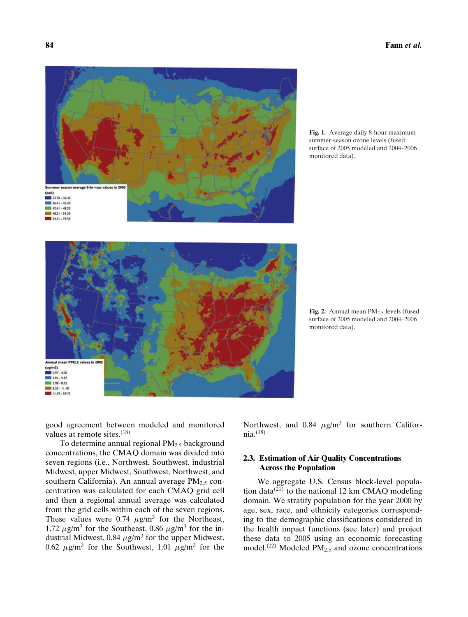

**Fig. 1.** Average daily 8-hour maximum summer-season ozone levels (fused surface of 2005 modeled and 2004–2006 monitored data).



Fig. 2. Annual mean PM<sub>2.5</sub> levels (fused surface of 2005 modeled and 2004–2006 monitored data).

good agreement between modeled and monitored values at remote sites.<sup>(18)</sup>

To determine annual regional  $PM<sub>2.5</sub>$  background concentrations, the CMAQ domain was divided into seven regions (i.e., Northwest, Southwest, industrial Midwest, upper Midwest, Southwest, Northwest, and southern California). An annual average  $PM<sub>2.5</sub>$  concentration was calculated for each CMAQ grid cell and then a regional annual average was calculated from the grid cells within each of the seven regions. These values were 0.74  $\mu$ g/m<sup>3</sup> for the Northeast, 1.72  $\mu$ g/m<sup>3</sup> for the Southeast, 0.86  $\mu$ g/m<sup>3</sup> for the industrial Midwest, 0.84  $\mu$ g/m<sup>3</sup> for the upper Midwest, 0.62  $\mu$ g/m<sup>3</sup> for the Southwest, 1.01  $\mu$ g/m<sup>3</sup> for the Northwest, and 0.84  $\mu$ g/m<sup>3</sup> for southern California.(18)

# **2.3. Estimation of Air Quality Concentrations Across the Population**

We aggregate U.S. Census block-level population data $^{(21)}$  to the national 12 km CMAO modeling domain. We stratify population for the year 2000 by age, sex, race, and ethnicity categories corresponding to the demographic classifications considered in the health impact functions (see later) and project these data to 2005 using an economic forecasting model.<sup>(22)</sup> Modeled PM<sub>2.5</sub> and ozone concentrations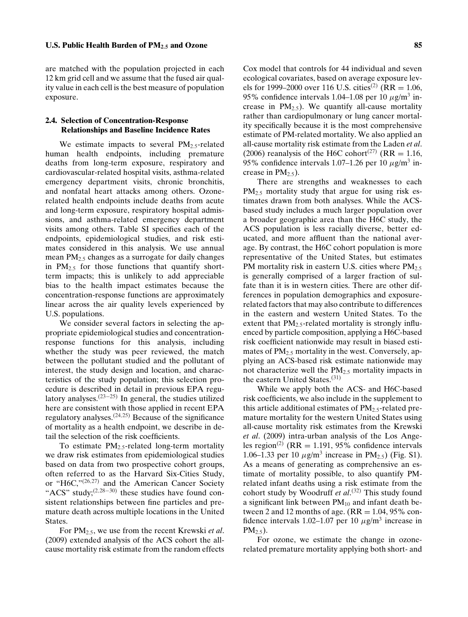are matched with the population projected in each 12 km grid cell and we assume that the fused air quality value in each cell is the best measure of population exposure.

# **2.4. Selection of Concentration-Response Relationships and Baseline Incidence Rates**

We estimate impacts to several  $PM_{2.5}$ -related human health endpoints, including premature deaths from long-term exposure, respiratory and cardiovascular-related hospital visits, asthma-related emergency department visits, chronic bronchitis, and nonfatal heart attacks among others. Ozonerelated health endpoints include deaths from acute and long-term exposure, respiratory hospital admissions, and asthma-related emergency department visits among others. Table SI specifies each of the endpoints, epidemiological studies, and risk estimates considered in this analysis. We use annual mean  $PM<sub>2.5</sub>$  changes as a surrogate for daily changes in  $PM_{2.5}$  for those functions that quantify shortterm impacts; this is unlikely to add appreciable bias to the health impact estimates because the concentration-response functions are approximately linear across the air quality levels experienced by U.S. populations.

We consider several factors in selecting the appropriate epidemiological studies and concentrationresponse functions for this analysis, including whether the study was peer reviewed, the match between the pollutant studied and the pollutant of interest, the study design and location, and characteristics of the study population; this selection procedure is described in detail in previous EPA regulatory analyses.(23−25) In general, the studies utilized here are consistent with those applied in recent EPA regulatory analyses.<sup> $(24,25)$ </sup> Because of the significance of mortality as a health endpoint, we describe in detail the selection of the risk coefficients.

To estimate  $PM_{2.5}$ -related long-term mortality we draw risk estimates from epidemiological studies based on data from two prospective cohort groups, often referred to as the Harvard Six-Cities Study, or "H6C," $(26.27)$  and the American Cancer Society "ACS" study; $(2,28-30)$  these studies have found consistent relationships between fine particles and premature death across multiple locations in the United States.

For PM2.5, we use from the recent Krewski *et al*. (2009) extended analysis of the ACS cohort the allcause mortality risk estimate from the random effects ecological covariates, based on average exposure levels for 1999–2000 over 116 U.S. cities<sup>(2)</sup> (RR = 1.06, 95% confidence intervals 1.04–1.08 per 10  $\mu$ g/m<sup>3</sup> increase in  $PM_{2.5}$ ). We quantify all-cause mortality rather than cardiopulmonary or lung cancer mortality specifically because it is the most comprehensive estimate of PM-related mortality. We also applied an all-cause mortality risk estimate from the Laden *et al*. (2006) reanalysis of the H6C cohort<sup>(27)</sup> (RR = 1.16, 95% confidence intervals 1.07–1.26 per 10  $\mu$ g/m<sup>3</sup> increase in  $PM_{2.5}$ ).

There are strengths and weaknesses to each  $PM_{2.5}$  mortality study that argue for using risk estimates drawn from both analyses. While the ACSbased study includes a much larger population over a broader geographic area than the H6C study, the ACS population is less racially diverse, better educated, and more affluent than the national average. By contrast, the H6C cohort population is more representative of the United States, but estimates PM mortality risk in eastern U.S. cities where  $PM_{2.5}$ is generally comprised of a larger fraction of sulfate than it is in western cities. There are other differences in population demographics and exposurerelated factors that may also contribute to differences in the eastern and western United States. To the extent that  $PM_{2.5}$ -related mortality is strongly influenced by particle composition, applying a H6C-based risk coefficient nationwide may result in biased estimates of  $PM_{2,5}$  mortality in the west. Conversely, applying an ACS-based risk estimate nationwide may not characterize well the  $PM<sub>2.5</sub>$  mortality impacts in the eastern United States.(31)

While we apply both the ACS- and H6C-based risk coefficients, we also include in the supplement to this article additional estimates of  $PM_{2.5}$ -related premature mortality for the western United States using all-cause mortality risk estimates from the Krewski *et al*. (2009) intra-urban analysis of the Los Angeles region<sup>(2)</sup> (RR = 1.191, 95% confidence intervals 1.06–1.33 per 10  $\mu$ g/m<sup>3</sup> increase in PM<sub>2.5</sub>) (Fig. S1). As a means of generating as comprehensive an estimate of mortality possible, to also quantify PMrelated infant deaths using a risk estimate from the cohort study by Woodruff *et al*. (32) This study found a significant link between  $PM_{10}$  and infant death between 2 and 12 months of age.  $(RR = 1.04, 95\%$  confidence intervals 1.02–1.07 per 10  $\mu$ g/m<sup>3</sup> increase in  $PM_{2.5}$ ).

For ozone, we estimate the change in ozonerelated premature mortality applying both short- and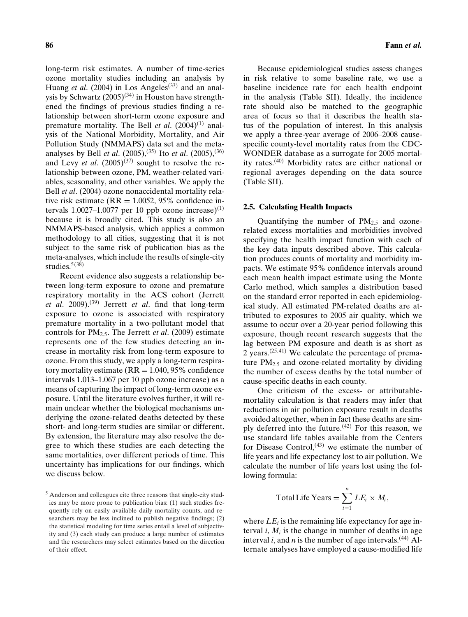long-term risk estimates. A number of time-series ozone mortality studies including an analysis by Huang *et al.* (2004) in Los Angeles<sup>(33)</sup> and an analysis by Schwartz  $(2005)^{(34)}$  in Houston have strengthened the findings of previous studies finding a relationship between short-term ozone exposure and premature mortality. The Bell *et al.*  $(2004)^{(1)}$  analysis of the National Morbidity, Mortality, and Air Pollution Study (NMMAPS) data set and the metaanalyses by Bell *et al*. (2005),(35) Ito *et al*. (2005),(36) and Levy *et al.*  $(2005)^{(37)}$  sought to resolve the relationship between ozone, PM, weather-related variables, seasonality, and other variables. We apply the Bell *et al*. (2004) ozone nonaccidental mortality relative risk estimate ( $RR = 1.0052$ , 95% confidence intervals 1.0027–1.0077 per 10 ppb ozone increase) $(1)$ because it is broadly cited. This study is also an NMMAPS-based analysis, which applies a common methodology to all cities, suggesting that it is not subject to the same risk of publication bias as the meta-analyses, which include the results of single-city studies.<sup>5(38)</sup>

Recent evidence also suggests a relationship between long-term exposure to ozone and premature respiratory mortality in the ACS cohort (Jerrett *et al*. 2009).(39) Jerrett *et al*. find that long-term exposure to ozone is associated with respiratory premature mortality in a two-pollutant model that controls for PM2.5. The Jerrett *et al*. (2009) estimate represents one of the few studies detecting an increase in mortality risk from long-term exposure to ozone. From this study, we apply a long-term respiratory mortality estimate ( $RR = 1.040, 95\%$  confidence intervals 1.013–1.067 per 10 ppb ozone increase) as a means of capturing the impact of long-term ozone exposure. Until the literature evolves further, it will remain unclear whether the biological mechanisms underlying the ozone-related deaths detected by these short- and long-term studies are similar or different. By extension, the literature may also resolve the degree to which these studies are each detecting the same mortalities, over different periods of time. This uncertainty has implications for our findings, which we discuss below.

Because epidemiological studies assess changes in risk relative to some baseline rate, we use a baseline incidence rate for each health endpoint in the analysis (Table SII). Ideally, the incidence rate should also be matched to the geographic area of focus so that it describes the health status of the population of interest. In this analysis we apply a three-year average of 2006–2008 causespecific county-level mortality rates from the CDC-WONDER database as a surrogate for 2005 mortality rates.(40) Morbidity rates are either national or regional averages depending on the data source (Table SII).

#### **2.5. Calculating Health Impacts**

Quantifying the number of  $PM_{2.5}$  and ozonerelated excess mortalities and morbidities involved specifying the health impact function with each of the key data inputs described above. This calculation produces counts of mortality and morbidity impacts. We estimate 95% confidence intervals around each mean health impact estimate using the Monte Carlo method, which samples a distribution based on the standard error reported in each epidemiological study. All estimated PM-related deaths are attributed to exposures to 2005 air quality, which we assume to occur over a 20-year period following this exposure, though recent research suggests that the lag between PM exposure and death is as short as 2 years.<sup> $(25,41)$ </sup> We calculate the percentage of premature  $PM_{2.5}$  and ozone-related mortality by dividing the number of excess deaths by the total number of cause-specific deaths in each county.

One criticism of the excess- or attributablemortality calculation is that readers may infer that reductions in air pollution exposure result in deaths avoided altogether, when in fact these deaths are simply deferred into the future.<sup> $(42)$ </sup> For this reason, we use standard life tables available from the Centers for Disease Control, $(43)$  we estimate the number of life years and life expectancy lost to air pollution. We calculate the number of life years lost using the following formula:

Total Life Years = 
$$
\sum_{i=1}^{n} LE_i \times M_i,
$$

where  $LE<sub>i</sub>$  is the remaining life expectancy for age interval  $i$ ,  $M_i$  is the change in number of deaths in age interval *i*, and *n* is the number of age intervals.<sup>(44)</sup> Alternate analyses have employed a cause-modified life

<sup>5</sup> Anderson and colleagues cite three reasons that single-city studies may be more prone to publication bias: (1) such studies frequently rely on easily available daily mortality counts, and researchers may be less inclined to publish negative findings; (2) the statistical modeling for time series entail a level of subjectivity and (3) each study can produce a large number of estimates and the researchers may select estimates based on the direction of their effect.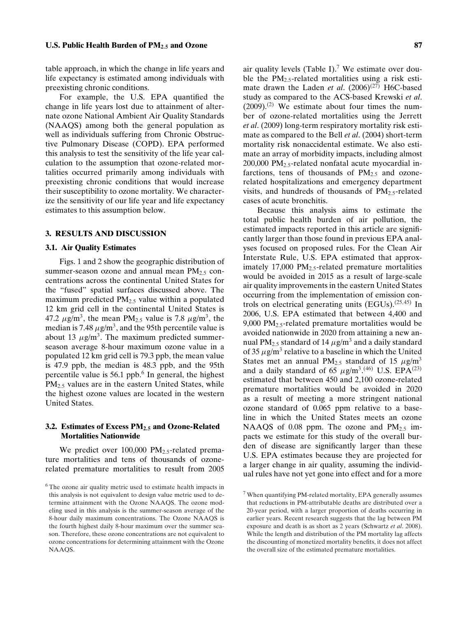#### **U.S. Public Health Burden of PM<sub>2</sub><sub>***.***</sub>5</sub> and Ozone 87**

table approach, in which the change in life years and life expectancy is estimated among individuals with preexisting chronic conditions.

For example, the U.S. EPA quantified the change in life years lost due to attainment of alternate ozone National Ambient Air Quality Standards (NAAQS) among both the general population as well as individuals suffering from Chronic Obstructive Pulmonary Disease (COPD). EPA performed this analysis to test the sensitivity of the life year calculation to the assumption that ozone-related mortalities occurred primarily among individuals with preexisting chronic conditions that would increase their susceptibility to ozone mortality. We characterize the sensitivity of our life year and life expectancy estimates to this assumption below.

## **3. RESULTS AND DISCUSSION**

#### **3.1. Air Quality Estimates**

Figs. 1 and 2 show the geographic distribution of summer-season ozone and annual mean  $PM<sub>2.5</sub>$  concentrations across the continental United States for the "fused" spatial surfaces discussed above. The maximum predicted  $PM_{2.5}$  value within a populated 12 km grid cell in the continental United States is 47.2  $\mu$ g/m<sup>3</sup>, the mean PM<sub>2.5</sub> value is 7.8  $\mu$ g/m<sup>3</sup>, the median is 7.48  $\mu$ g/m<sup>3</sup>, and the 95th percentile value is about 13  $\mu$ g/m<sup>3</sup>. The maximum predicted summerseason average 8-hour maximum ozone value in a populated 12 km grid cell is 79.3 ppb, the mean value is 47.9 ppb, the median is 48.3 ppb, and the 95th percentile value is  $56.1$  ppb.<sup>6</sup> In general, the highest  $PM_{2.5}$  values are in the eastern United States, while the highest ozone values are located in the western United States.

# **3.2. Estimates of Excess PM2***.***<sup>5</sup> and Ozone-Related Mortalities Nationwide**

We predict over 100,000 PM<sub>2.5</sub>-related premature mortalities and tens of thousands of ozonerelated premature mortalities to result from 2005

air quality levels (Table I).<sup>7</sup> We estimate over double the  $PM_2$ <sub>5</sub>-related mortalities using a risk estimate drawn the Laden *et al.*  $(2006)^{(27)}$  H6C-based study as compared to the ACS-based Krewski *et al*.  $(2009)$ .<sup>(2)</sup> We estimate about four times the number of ozone-related mortalities using the Jerrett *et al*. (2009) long-term respiratory mortality risk estimate as compared to the Bell *et al*. (2004) short-term mortality risk nonaccidental estimate. We also estimate an array of morbidity impacts, including almost  $200,000$  PM<sub>2.5</sub>-related nonfatal acute myocardial infarctions, tens of thousands of  $PM_{2.5}$  and ozonerelated hospitalizations and emergency department visits, and hundreds of thousands of  $PM_{2.5}$ -related cases of acute bronchitis.

Because this analysis aims to estimate the total public health burden of air pollution, the estimated impacts reported in this article are significantly larger than those found in previous EPA analyses focused on proposed rules. For the Clean Air Interstate Rule, U.S. EPA estimated that approximately 17,000 PM $<sub>2.5</sub>$ -related premature mortalities</sub> would be avoided in 2015 as a result of large-scale air quality improvements in the eastern United States occurring from the implementation of emission controls on electrical generating units  $(EGUs)$ .<sup>(25,45)</sup> In 2006, U.S. EPA estimated that between 4,400 and 9,000  $PM_{2.5}$ -related premature mortalities would be avoided nationwide in 2020 from attaining a new annual PM<sub>2.5</sub> standard of 14  $\mu$ g/m<sup>3</sup> and a daily standard of 35  $\mu$ g/m<sup>3</sup> relative to a baseline in which the United States met an annual PM<sub>2.5</sub> standard of 15  $\mu$ g/m<sup>3</sup> and a daily standard of 65  $\mu$ g/m<sup>3</sup>.<sup>(46)</sup> U.S. EPA<sup>(23)</sup> estimated that between 450 and 2,100 ozone-related premature mortalities would be avoided in 2020 as a result of meeting a more stringent national ozone standard of 0.065 ppm relative to a baseline in which the United States meets an ozone NAAQS of 0.08 ppm. The ozone and  $PM_{2.5}$  impacts we estimate for this study of the overall burden of disease are significantly larger than these U.S. EPA estimates because they are projected for a larger change in air quality, assuming the individual rules have not yet gone into effect and for a more

<sup>6</sup> The ozone air quality metric used to estimate health impacts in this analysis is not equivalent to design value metric used to determine attainment with the Ozone NAAQS. The ozone modeling used in this analysis is the summer-season average of the 8-hour daily maximum concentrations. The Ozone NAAQS is the fourth highest daily 8-hour maximum over the summer season. Therefore, these ozone concentrations are not equivalent to ozone concentrations for determining attainment with the Ozone NAAQS.

 $7$  When quantifying PM-related mortality, EPA generally assumes that reductions in PM-attributable deaths are distributed over a 20-year period, with a larger proportion of deaths occurring in earlier years. Recent research suggests that the lag between PM exposure and death is as short as 2 years (Schwartz *et al*. 2008). While the length and distribution of the PM mortality lag affects the discounting of monetized mortality benefits, it does not affect the overall size of the estimated premature mortalities.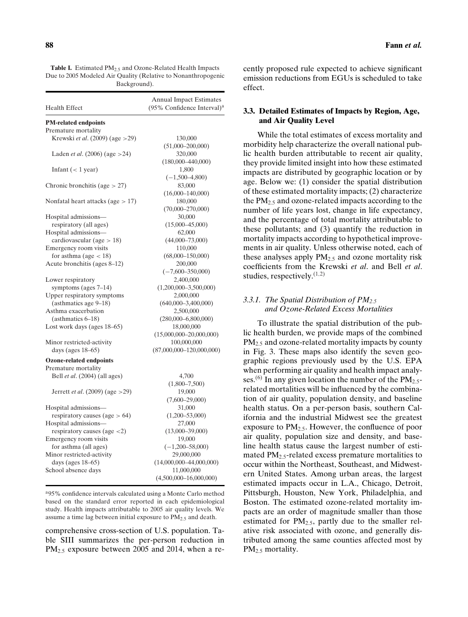Table I. Estimated PM<sub>2.5</sub> and Ozone-Related Health Impacts Due to 2005 Modeled Air Quality (Relative to Nonanthropogenic Background).

| <b>Health Effect</b>                      | <b>Annual Impact Estimates</b><br>(95% Confidence Interval) <sup>a</sup> |
|-------------------------------------------|--------------------------------------------------------------------------|
| <b>PM-related endpoints</b>               |                                                                          |
| Premature mortality                       |                                                                          |
| Krewski et al. (2009) (age > 29)          | 130,000                                                                  |
|                                           | $(51,000-200,000)$                                                       |
| Laden <i>et al.</i> (2006) (age $>24$ )   | 320,000                                                                  |
|                                           | $(180,000 - 440,000)$                                                    |
| Infant $(< 1$ year)                       | 1,800                                                                    |
|                                           | $(-1,500-4,800)$                                                         |
| Chronic bronchitis (age $> 27$ )          | 83,000                                                                   |
|                                           | $(16,000 - 140,000)$                                                     |
| Nonfatal heart attacks (age $> 17$ )      | 180,000                                                                  |
|                                           | $(70,000 - 270,000)$                                                     |
| Hospital admissions-                      | 30,000                                                                   |
| respiratory (all ages)                    | $(15,000-45,000)$                                                        |
| Hospital admissions-                      | 62,000                                                                   |
| cardiovascular (age $> 18$ )              | $(44,000 - 73,000)$                                                      |
| Emergency room visits                     | 110,000                                                                  |
| for asthma (age $<$ 18)                   | $(68,000 - 150,000)$                                                     |
| Acute bronchitis (ages 8-12)              | 200,000                                                                  |
|                                           | $(-7,600 - 350,000)$                                                     |
| Lower respiratory                         | 2,400,000                                                                |
| symptoms (ages $7-14$ )                   | $(1,200,000-3,500,000)$                                                  |
| Upper respiratory symptoms                | 2,000,000                                                                |
| (asthmatics age 9–18)                     | $(640,000-3,400,000)$                                                    |
| Asthma exacerbation                       | 2,500,000                                                                |
| $(asthmatics 6-18)$                       | $(280,000-6,800,000)$                                                    |
| Lost work days (ages 18–65)               | 18,000,000                                                               |
|                                           | $(15,000,000-20,000,000)$                                                |
| Minor restricted-activity                 | 100,000,000                                                              |
| days (ages $18-65$ )                      | $(87,000,000-120,000,000)$                                               |
| <b>Ozone-related endpoints</b>            |                                                                          |
| Premature mortality                       |                                                                          |
| Bell et al. (2004) (all ages)             | 4,700                                                                    |
|                                           | $(1,800-7,500)$                                                          |
| Jerrett <i>et al.</i> (2009) (age $>29$ ) | 19,000                                                                   |
|                                           | $(7,600 - 29,000)$                                                       |
| Hospital admissions-                      | 31,000                                                                   |
| respiratory causes (age $> 64$ )          | $(1,200 - 53,000)$                                                       |
| Hospital admissions-                      | 27,000                                                                   |
| respiratory causes (age <2)               | $(13,000 - 39,000)$                                                      |
| Emergency room visits                     | 19,000                                                                   |
| for asthma (all ages)                     | $(-1,200 - 58,000)$                                                      |
| Minor restricted-activity                 | 29,000,000                                                               |
| days (ages $18-65$ )                      | $(14,000,000-44,000,000)$                                                |
| School absence days                       | 11,000,000                                                               |
|                                           | $(4,500,000 - 16,000,000)$                                               |

a95% confidence intervals calculated using a Monte Carlo method based on the standard error reported in each epidemiological study. Health impacts attributable to 2005 air quality levels. We assume a time lag between initial exposure to  $PM_{2.5}$  and death.

comprehensive cross-section of U.S. population. Table SIII summarizes the per-person reduction in PM<sub>2.5</sub> exposure between 2005 and 2014, when a recently proposed rule expected to achieve significant emission reductions from EGUs is scheduled to take effect.

# **3.3. Detailed Estimates of Impacts by Region, Age, and Air Quality Level**

While the total estimates of excess mortality and morbidity help characterize the overall national public health burden attributable to recent air quality, they provide limited insight into how these estimated impacts are distributed by geographic location or by age. Below we: (1) consider the spatial distribution of these estimated mortality impacts; (2) characterize the  $PM_{2.5}$  and ozone-related impacts according to the number of life years lost, change in life expectancy, and the percentage of total mortality attributable to these pollutants; and (3) quantify the reduction in mortality impacts according to hypothetical improvements in air quality. Unless otherwise noted, each of these analyses apply  $PM<sub>2.5</sub>$  and ozone mortality risk coefficients from the Krewski *et al*. and Bell *et al*. studies, respectively.(1,2)

# *3.3.1. The Spatial Distribution of PM2*.*<sup>5</sup> and Ozone-Related Excess Mortalities*

To illustrate the spatial distribution of the public health burden, we provide maps of the combined  $PM<sub>2.5</sub>$  and ozone-related mortality impacts by county in Fig. 3. These maps also identify the seven geographic regions previously used by the U.S. EPA when performing air quality and health impact analyses.<sup>(6)</sup> In any given location the number of the  $PM_{2.5}$ related mortalities will be influenced by the combination of air quality, population density, and baseline health status. On a per-person basis, southern California and the industrial Midwest see the greatest exposure to  $PM_{2.5}$ . However, the confluence of poor air quality, population size and density, and baseline health status cause the largest number of estimated  $PM_{2.5}$ -related excess premature mortalities to occur within the Northeast, Southeast, and Midwestern United States. Among urban areas, the largest estimated impacts occur in L.A., Chicago, Detroit, Pittsburgh, Houston, New York, Philadelphia, and Boston. The estimated ozone-related mortality impacts are an order of magnitude smaller than those estimated for  $PM_{2.5}$ , partly due to the smaller relative risk associated with ozone, and generally distributed among the same counties affected most by  $PM<sub>2.5</sub>$  mortality.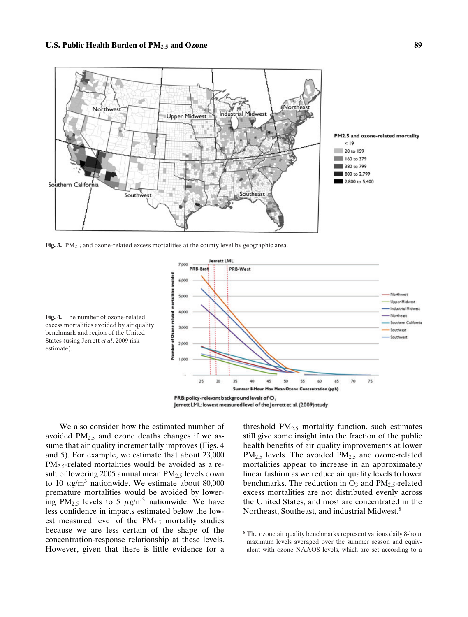

Fig. 3. PM<sub>2.5</sub> and ozone-related excess mortalities at the county level by geographic area.



**Fig. 4.** The number of ozone-related excess mortalities avoided by air quality benchmark and region of the United States (using Jerrett *et al*. 2009 risk estimate).

Jerrett LML: lowest measured level of the Jerrett et al. (2009) study

We also consider how the estimated number of avoided  $PM_{2.5}$  and ozone deaths changes if we assume that air quality incrementally improves (Figs. 4 and 5). For example, we estimate that about 23,000 PM<sub>2.5</sub>-related mortalities would be avoided as a result of lowering 2005 annual mean  $PM_{2.5}$  levels down to 10  $\mu$ g/m<sup>3</sup> nationwide. We estimate about 80,000 premature mortalities would be avoided by lowering PM<sub>2.5</sub> levels to 5  $\mu$ g/m<sup>3</sup> nationwide. We have less confidence in impacts estimated below the lowest measured level of the  $PM_{2.5}$  mortality studies because we are less certain of the shape of the concentration-response relationship at these levels. However, given that there is little evidence for a

threshold  $PM_{2.5}$  mortality function, such estimates still give some insight into the fraction of the public health benefits of air quality improvements at lower  $PM_{2.5}$  levels. The avoided  $PM_{2.5}$  and ozone-related mortalities appear to increase in an approximately linear fashion as we reduce air quality levels to lower benchmarks. The reduction in  $O_3$  and  $PM_2$ <sub>5</sub>-related excess mortalities are not distributed evenly across the United States, and most are concentrated in the Northeast, Southeast, and industrial Midwest.<sup>8</sup>

<sup>8</sup> The ozone air quality benchmarks represent various daily 8-hour maximum levels averaged over the summer season and equivalent with ozone NAAQS levels, which are set according to a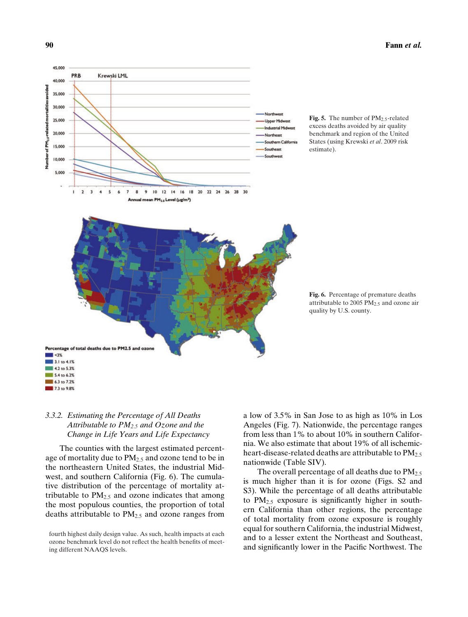

**Fig. 6.** Percentage of premature deaths attributable to 2005 PM2.<sup>5</sup> and ozone air quality by U.S. county.

# *3.3.2. Estimating the Percentage of All Deaths Attributable to PM2*.*<sup>5</sup> and Ozone and the Change in Life Years and Life Expectancy*

The counties with the largest estimated percentage of mortality due to  $PM_{2.5}$  and ozone tend to be in the northeastern United States, the industrial Midwest, and southern California (Fig. 6). The cumulative distribution of the percentage of mortality attributable to  $PM<sub>2.5</sub>$  and ozone indicates that among the most populous counties, the proportion of total deaths attributable to  $PM_{2.5}$  and ozone ranges from a low of 3.5% in San Jose to as high as 10% in Los Angeles (Fig. 7). Nationwide, the percentage ranges from less than 1% to about 10% in southern California. We also estimate that about 19% of all ischemicheart-disease-related deaths are attributable to  $PM<sub>2.5</sub>$ nationwide (Table SIV).

The overall percentage of all deaths due to  $PM_{2.5}$ is much higher than it is for ozone (Figs. S2 and S3). While the percentage of all deaths attributable to  $PM_{2.5}$  exposure is significantly higher in southern California than other regions, the percentage of total mortality from ozone exposure is roughly equal for southern California, the industrial Midwest, and to a lesser extent the Northeast and Southeast, and significantly lower in the Pacific Northwest. The

fourth highest daily design value. As such, health impacts at each ozone benchmark level do not reflect the health benefits of meeting different NAAQS levels.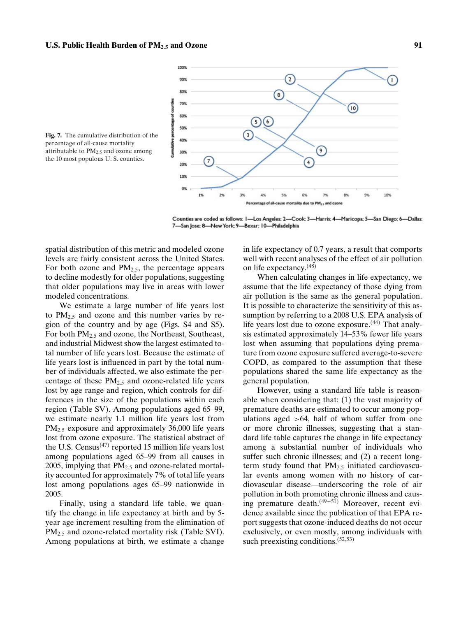

**Fig. 7.** The cumulative distribution of the percentage of all-cause mortality attributable to  $PM<sub>2.5</sub>$  and ozone among the 10 most populous U. S. counties.

Counties are coded as follows: 1-Los Angeles: 2-Cook: 3-Harris: 4-Maricopa: 5-San Diego: 6-Dallas: 7-San Jose; 8-New York; 9-Bexar; 10-Philadelphia

spatial distribution of this metric and modeled ozone levels are fairly consistent across the United States. For both ozone and  $PM<sub>2.5</sub>$ , the percentage appears to decline modestly for older populations, suggesting that older populations may live in areas with lower modeled concentrations.

We estimate a large number of life years lost to  $PM_{2.5}$  and ozone and this number varies by region of the country and by age (Figs. S4 and S5). For both PM2.<sup>5</sup> and ozone, the Northeast, Southeast, and industrial Midwest show the largest estimated total number of life years lost. Because the estimate of life years lost is influenced in part by the total number of individuals affected, we also estimate the percentage of these  $PM_{2.5}$  and ozone-related life years lost by age range and region, which controls for differences in the size of the populations within each region (Table SV). Among populations aged 65–99, we estimate nearly 1.1 million life years lost from PM<sub>2.5</sub> exposure and approximately 36,000 life years lost from ozone exposure. The statistical abstract of the U.S. Census $(47)$  reported 15 million life years lost among populations aged 65–99 from all causes in 2005, implying that  $PM_{2.5}$  and ozone-related mortality accounted for approximately 7% of total life years lost among populations ages 65–99 nationwide in 2005.

Finally, using a standard life table, we quantify the change in life expectancy at birth and by 5 year age increment resulting from the elimination of PM<sub>2.5</sub> and ozone-related mortality risk (Table SVI). Among populations at birth, we estimate a change in life expectancy of 0.7 years, a result that comports well with recent analyses of the effect of air pollution on life expectancy. $(48)$ 

When calculating changes in life expectancy, we assume that the life expectancy of those dying from air pollution is the same as the general population. It is possible to characterize the sensitivity of this assumption by referring to a 2008 U.S. EPA analysis of life years lost due to ozone exposure.<sup>(44)</sup> That analysis estimated approximately 14–53% fewer life years lost when assuming that populations dying premature from ozone exposure suffered average-to-severe COPD, as compared to the assumption that these populations shared the same life expectancy as the general population.

However, using a standard life table is reasonable when considering that: (1) the vast majority of premature deaths are estimated to occur among populations aged  $>64$ , half of whom suffer from one or more chronic illnesses, suggesting that a standard life table captures the change in life expectancy among a substantial number of individuals who suffer such chronic illnesses; and (2) a recent longterm study found that  $PM_{2.5}$  initiated cardiovascular events among women with no history of cardiovascular disease—underscoring the role of air pollution in both promoting chronic illness and caus- $\frac{1}{2}$ ing premature death.<sup>(49–51)</sup> Moreover, recent evidence available since the publication of that EPA report suggests that ozone-induced deaths do not occur exclusively, or even mostly, among individuals with such preexisting conditions.  $(52, 53)$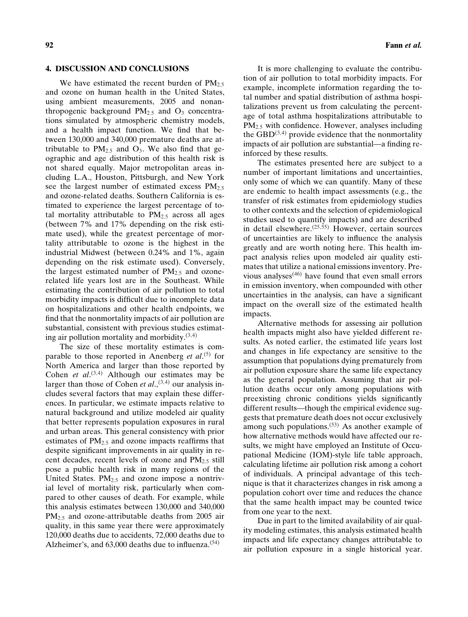## **4. DISCUSSION AND CONCLUSIONS**

We have estimated the recent burden of  $PM_{2.5}$ and ozone on human health in the United States, using ambient measurements, 2005 and nonanthropogenic background  $PM_{2.5}$  and  $O_3$  concentrations simulated by atmospheric chemistry models, and a health impact function. We find that between 130,000 and 340,000 premature deaths are attributable to  $PM_{2.5}$  and  $O_3$ . We also find that geographic and age distribution of this health risk is not shared equally. Major metropolitan areas including L.A., Houston, Pittsburgh, and New York see the largest number of estimated excess  $PM<sub>2.5</sub>$ and ozone-related deaths. Southern California is estimated to experience the largest percentage of total mortality attributable to  $PM_{2.5}$  across all ages (between 7% and 17% depending on the risk estimate used), while the greatest percentage of mortality attributable to ozone is the highest in the industrial Midwest (between 0.24% and 1%, again depending on the risk estimate used). Conversely, the largest estimated number of  $PM_{2.5}$  and ozonerelated life years lost are in the Southeast. While estimating the contribution of air pollution to total morbidity impacts is difficult due to incomplete data on hospitalizations and other health endpoints, we find that the nonmortality impacts of air pollution are substantial, consistent with previous studies estimating air pollution mortality and morbidity. $(3,4)$ 

The size of these mortality estimates is comparable to those reported in Anenberg *et al*.<sup>(5)</sup> for North America and larger than those reported by Cohen *et al.*<sup> $(3,4)$ </sup> Although our estimates may be larger than those of Cohen *et al*.,(3,4) our analysis includes several factors that may explain these differences. In particular, we estimate impacts relative to natural background and utilize modeled air quality that better represents population exposures in rural and urban areas. This general consistency with prior estimates of  $PM_{2.5}$  and ozone impacts reaffirms that despite significant improvements in air quality in recent decades, recent levels of ozone and  $PM_{2.5}$  still pose a public health risk in many regions of the United States.  $PM_{2.5}$  and ozone impose a nontrivial level of mortality risk, particularly when compared to other causes of death. For example, while this analysis estimates between 130,000 and 340,000 PM2.<sup>5</sup> and ozone-attributable deaths from 2005 air quality, in this same year there were approximately 120,000 deaths due to accidents, 72,000 deaths due to Alzheimer's, and  $63,000$  deaths due to influenza.<sup> $(54)$ </sup>

It is more challenging to evaluate the contribution of air pollution to total morbidity impacts. For example, incomplete information regarding the total number and spatial distribution of asthma hospitalizations prevent us from calculating the percentage of total asthma hospitalizations attributable to  $PM_{2.5}$  with confidence. However, analyses including the GBD $^{(3,4)}$  provide evidence that the nonmortality impacts of air pollution are substantial—a finding reinforced by these results.

The estimates presented here are subject to a number of important limitations and uncertainties, only some of which we can quantify. Many of these are endemic to health impact assessments (e.g., the transfer of risk estimates from epidemiology studies to other contexts and the selection of epidemiological studies used to quantify impacts) and are described in detail elsewhere.<sup> $(25,55)$ </sup> However, certain sources of uncertainties are likely to influence the analysis greatly and are worth noting here. This health impact analysis relies upon modeled air quality estimates that utilize a national emissions inventory. Previous analyses $(46)$  have found that even small errors in emission inventory, when compounded with other uncertainties in the analysis, can have a significant impact on the overall size of the estimated health impacts.

Alternative methods for assessing air pollution health impacts might also have yielded different results. As noted earlier, the estimated life years lost and changes in life expectancy are sensitive to the assumption that populations dying prematurely from air pollution exposure share the same life expectancy as the general population. Assuming that air pollution deaths occur only among populations with preexisting chronic conditions yields significantly different results—though the empirical evidence suggests that premature death does not occur exclusively among such populations. $(53)$  As another example of how alternative methods would have affected our results, we might have employed an Institute of Occupational Medicine (IOM)-style life table approach, calculating lifetime air pollution risk among a cohort of individuals. A principal advantage of this technique is that it characterizes changes in risk among a population cohort over time and reduces the chance that the same health impact may be counted twice from one year to the next.

Due in part to the limited availability of air quality modeling estimates, this analysis estimated health impacts and life expectancy changes attributable to air pollution exposure in a single historical year.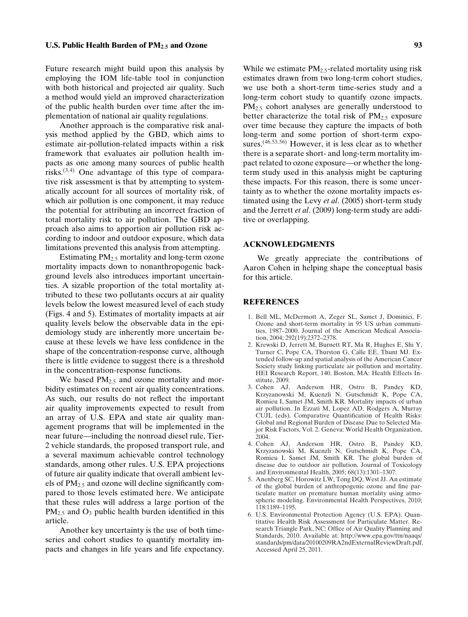Future research might build upon this analysis by employing the IOM life-table tool in conjunction with both historical and projected air quality. Such a method would yield an improved characterization of the public health burden over time after the implementation of national air quality regulations.

Another approach is the comparative risk analysis method applied by the GBD, which aims to estimate air-pollution-related impacts within a risk framework that evaluates air pollution health impacts as one among many sources of public health risks. $(3,4)$  One advantage of this type of comparative risk assessment is that by attempting to systematically account for all sources of mortality risk, of which air pollution is one component, it may reduce the potential for attributing an incorrect fraction of total mortality risk to air pollution. The GBD approach also aims to apportion air pollution risk according to indoor and outdoor exposure, which data limitations prevented this analysis from attempting.

Estimating  $PM_{2.5}$  mortality and long-term ozone mortality impacts down to nonanthropogenic background levels also introduces important uncertainties. A sizable proportion of the total mortality attributed to these two pollutants occurs at air quality levels below the lowest measured level of each study (Figs. 4 and 5). Estimates of mortality impacts at air quality levels below the observable data in the epidemiology study are inherently more uncertain because at these levels we have less confidence in the shape of the concentration-response curve, although there is little evidence to suggest there is a threshold in the concentration-response functions.

We based  $PM_{2,5}$  and ozone mortality and morbidity estimates on recent air quality concentrations. As such, our results do not reflect the important air quality improvements expected to result from an array of U.S. EPA and state air quality management programs that will be implemented in the near future—including the nonroad diesel rule, Tier-2 vehicle standards, the proposed transport rule, and a several maximum achievable control technology standards, among other rules. U.S. EPA projections of future air quality indicate that overall ambient levels of  $PM_{2,5}$  and ozone will decline significantly compared to those levels estimated here. We anticipate that these rules will address a large portion of the  $PM_{2.5}$  and  $O_3$  public health burden identified in this article.

Another key uncertainty is the use of both timeseries and cohort studies to quantify mortality impacts and changes in life years and life expectancy.

While we estimate  $PM_{2.5}$ -related mortality using risk estimates drawn from two long-term cohort studies, we use both a short-term time-series study and a long-term cohort study to quantify ozone impacts. PM<sub>2.5</sub> cohort analyses are generally understood to better characterize the total risk of  $PM_{2.5}$  exposure over time because they capture the impacts of both long-term and some portion of short-term exposures.<sup> $(46,53,56)$ </sup> However, it is less clear as to whether there is a separate short- and long-term mortality impact related to ozone exposure—or whether the longterm study used in this analysis might be capturing these impacts. For this reason, there is some uncertainty as to whether the ozone mortality impacts estimated using the Levy *et al*. (2005) short-term study and the Jerrett *et al*. (2009) long-term study are additive or overlapping.

## **ACKNOWLEDGMENTS**

We greatly appreciate the contributions of Aaron Cohen in helping shape the conceptual basis for this article.

## **REFERENCES**

- 1. Bell ML, McDermott A, Zeger SL, Samet J, Dominici, F. Ozone and short-term mortality in 95 US urban communities, 1987–2000. Journal of the American Medical Association, 2004; 292(19):2372–2378.
- 2. Krewski D, Jerrett M, Burnett RT, Ma R, Hughes E, Shi Y, Turner C, Pope CA, Thurston G, Calle EE, Thunt MJ. Extended follow-up and spatial analysis of the American Cancer Society study linking particulate air pollution and mortality. HEI Research Report, 140. Boston, MA: Health Effects Institute, 2009.
- 3. Cohen AJ, Anderson HR, Ostro B, Pandey KD, Krzyzanowski M, Kuenzli N, Gutschmidt K, Pope CA, Romieu I, Samet JM, Smith KR. Mortality impacts of urban air pollution. In Ezzati M, Lopez AD, Rodgers A, Murray CUJL (eds). Comparative Quantification of Health Risks: Global and Regional Burden of Disease Due to Selected Major Risk Factors, Vol. 2. Geneva: World Health Organization, 2004.
- 4. Cohen AJ, Anderson HR, Ostro B, Pandey KD, Krzyzanowski M, Kuenzli N, Gutschmidt K, Pope CA, Romieu I, Samet JM, Smith KR. The global burden of disease due to outdoor air pollution. Journal of Toxicology and Environmental Health, 2005; 68(13):1301–1307.
- 5. Anenberg SC, Horowitz LW, Tong DQ, West JJ. An estimate of the global burden of anthropogenic ozone and fine particulate matter on premature human mortality using atmospheric modeling. Environmental Health Perspectives, 2010; 118:1189–1195.
- 6. U.S. Environmental Protection Agency (U.S. EPA). Quantitative Health Risk Assessment for Particulate Matter. Research Triangle Park, NC: Office of Air Quality Planning and Standards, 2010. Available at: http://www.epa.gov/ttn/naaqs/ standards/pm/data/20100209RA2ndExternalReviewDraft.pdf. Accessed April 25, 2011.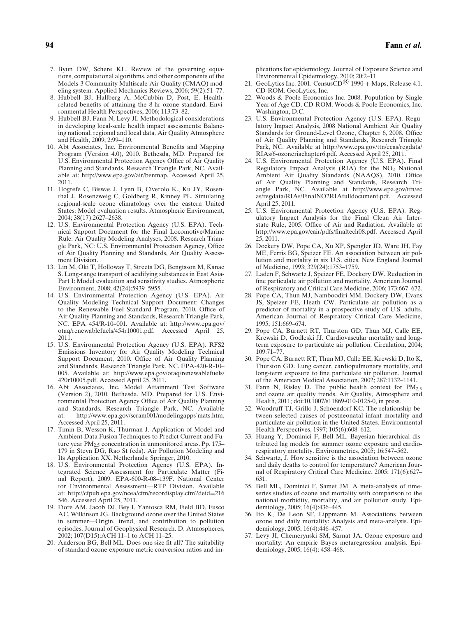- 7. Byun DW, Schere KL. Review of the governing equations, computational algorithms, and other components of the Models-3 Community Multiscale Air Quality (CMAQ) modeling system. Applied Mechanics Reviews, 2006; 59(2):51–77.
- 8. Hubbell BJ, Hallberg A, McCubbin D, Post, E. Healthrelated benefits of attaining the 8-hr ozone standard. Environmental Health Perspectives, 2006; 113:73–82.
- 9. Hubbell BJ, Fann N, Levy JI. Methodological considerations in developing local-scale health impact assessments: Balancing national, regional and local data. Air Quality Atmosphere and Health, 2009; 2:99–110.
- 10. Abt Associates, Inc. Environmental Benefits and Mapping Program (Version 4.0), 2010. Bethesda, MD. Prepared for U.S. Environmental Protection Agency Office of Air Quality Planning and Standards. Research Triangle Park, NC. Available at: http://www.epa.gov/air/benmap. Accessed April 25, 2011.
- 11. Hogrefe C, Biswas J, Lynn B, Civerolo K., Ku JY, Rosenthal J, Rosenzweig C, Goldberg R, Kinney PL. Simulating regional-scale ozone climatology over the eastern United States: Model evaluation results. Atmospheric Environment, 2004; 38(17):2627–2638.
- 12. U.S. Environmental Protection Agency (U.S. EPA). Technical Support Document for the Final Locomotive/Marine Rule: Air Quality Modeling Analyses, 2008. Research Triangle Park, NC: U.S. Environmental Protection Agency, Office of Air Quality Planning and Standards, Air Quality Assessment Division.
- 13. Lin M, Oki T, Holloway T, Streets DG, Bengtsson M, Kanae S. Long-range transport of acidifying substances in East Asia-Part I: Model evaluation and sensitivity studies. Atmospheric Environment, 2008; 42(24):5939–5955.
- 14. U.S. Environmental Protection Agency (U.S. EPA). Air Quality Modeling Technical Support Document: Changes to the Renewable Fuel Standard Program, 2010. Office of Air Quality Planning and Standards, Research Triangle Park, NC. EPA 454/R-10–001. Available at: http://www.epa.gov/ otaq/renewablefuels/454r10001.pdf. Accessed April 25, 2011.
- 15. U.S. Environmental Protection Agency (U.S. EPA). RFS2 Emissions Inventory for Air Quality Modeling Technical Support Document, 2010. Office of Air Quality Planning and Standards, Research Triangle Park, NC. EPA-420-R-10– 005. Available at: http://www.epa.gov/otaq/renewablefuels/ 420r10005.pdf. Accessed April 25, 2011.
- 16. Abt Associates, Inc. Model Attainment Test Software (Version 2), 2010. Bethesda, MD. Prepared for U.S. Environmental Protection Agency Office of Air Quality Planning and Standards. Research Triangle Park, NC. Available at: http://www.epa.gov/scram001/modelingapps˙mats.htm. Accessed April 25, 2011.
- 17. Timin B, Wesson K, Thurman J. Application of Model and Ambient Data Fusion Techniques to Predict Current and Future year  $PM<sub>2.5</sub>$  concentration in unmonitored areas. Pp. 175– 179 in Steyn DG, Rao St (eds). Air Pollution Modeling and Its Application XX. Netherlands: Springer, 2010.
- 18. U.S. Environmental Protection Agency (U.S. EPA). Integrated Science Assessment for Particulate Matter (Final Report), 2009. EPA-600-R-08–139F. National Center for Environmental Assessment—RTP Division. Available at: http://cfpub.epa.gov/ncea/cfm/recordisplay.cfm?deid=216 546. Accessed April 25, 2011.
- 19. Fiore AM, Jacob DJ, Bey I, Yantosca RM, Field BD, Fusco AC, Wilkinson JG. Background ozone over the United States in summer—Origin, trend, and contribution to pollution episodes. Journal of Geophysical Research. D. Atmospheres, 2002; 107(D15):ACH 11–1 to ACH 11–25.
- 20. Anderson BG, Bell ML. Does one size fit all? The suitability of standard ozone exposure metric conversion ratios and im-

plications for epidemiology. Journal of Exposure Science and Environmental Epidemiology, 2010; 20:2–11

- 21. GeoLytics Inc. 2001. CensusCD<sup>®</sup> 1990 + Maps, Release 4.1. CD-ROM. GeoLytics, Inc.
- 22. Woods & Poole Economics Inc. 2008. Population by Single Year of Age CD. CD-ROM. Woods & Poole Economics, Inc. Washington, D.C.
- 23. U.S. Environmental Protection Agency (U.S. EPA). Regulatory Impact Analysis, 2008 National Ambient Air Quality Standards for Ground-Level Ozone, Chapter 6, 2008. Office of Air Quality Planning and Standards, Research Triangle Park, NC. Available at http://www.epa.gov/ttn/ecas/regdata/ RIAs/6-ozoneriachapter6.pdf. Accessed April 25, 2011.
- 24. U.S. Environmental Protection Agency (U.S. EPA). Final Regulatory Impact Analysis (RIA) for the  $NO<sub>2</sub>$  National Ambient Air Quality Standards (NAAQS), 2010. Office of Air Quality Planning and Standards, Research Triangle Park, NC. Available at http://www.epa.gov/ttn/ec as/regdata/RIAs/FinalNO2RIAfulldocument.pdf. Accessed April 25, 2011.
- 25. U.S. Environmental Protection Agency (U.S. EPA). Regulatory Impact Analysis for the Final Clean Air Interstate Rule, 2005. Office of Air and Radiation. Available at http://www.epa.gov/cair/pdfs/finaltech08.pdf. Accessed April 25, 2011.
- 26. Dockery DW, Pope CA, Xu XP, Spengler JD, Ware JH, Fay ME, Ferris BG, Speizer FE. An association between air pollution and mortality in six U.S. cities. New England Journal of Medicine, 1993; 329(24):1753–1759.
- 27. Laden F, Schwartz J, Speizer FE, Dockery DW. Reduction in fine particulate air pollution and mortality. American Journal of Respiratory and Critical Care Medicine, 2006; 173:667–672.
- 28. Pope CA, Thun MJ, Namboodiri MM, Dockery DW, Evans JS, Speizer FE, Heath CW. Particulate air pollution as a predictor of mortality in a prospective study of U.S. adults. American Journal of Respiratory Critical Care Medicine, 1995; 151:669–674.
- 29. Pope CA, Burnett RT, Thurston GD, Thun MJ, Calle EE, Krewski D, Godleski JJ. Cardiovascular mortality and longterm exposure to particulate air pollution. Circulation, 2004; 109:71–77.
- 30. Pope CA, Burnett RT, Thun MJ, Calle EE, Krewski D, Ito K, Thurston GD. Lung cancer, cardiopulmonary mortality, and long-term exposure to fine particulate air pollution. Journal of the American Medical Association, 2002; 287:1132–1141.
- 31. Fann N, Risley D. The public health context for PM2.<sup>5</sup> and ozone air quality trends. Air Quality, Atmosphere and Health, 2011; doi:10.1007/s11869-010-0125-0, in press.
- 32. Woodruff TJ, Grillo J, Schoendorf KC. The relationship between selected causes of postneonatal infant mortality and particulate air pollution in the United States. Environmental Health Perspectives, 1997; 105(6):608–612.
- 33. Huang Y, Dominici F, Bell ML. Bayesian hierarchical distributed lag models for summer ozone exposure and cardiorespiratory mortality. Environmetrics, 2005; 16:547–562.
- 34. Schwartz, J. How sensitive is the association between ozone and daily deaths to control for temperature? American Journal of Respiratory Critical Care Medicine, 2005; 171(6):627– 631.
- 35. Bell ML, Dominici F, Samet JM. A meta-analysis of timeseries studies of ozone and mortality with comparison to the national morbidity, mortality, and air pollution study. Epidemiology, 2005; 16(4):436–445.
- 36. Ito K, De Leon SF, Lippmann M. Associations between ozone and daily mortality: Analysis and meta-analysis. Epidemiology, 2005; 16(4):446–457.
- 37. Levy JI, Chemerynski SM, Sarnat JA. Ozone exposure and mortality: An empiric Bayes metaregression analysis. Epidemiology, 2005; 16(4): 458–468.